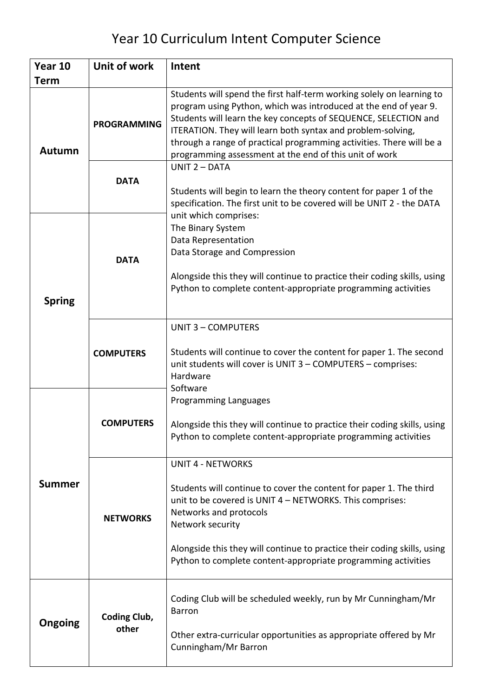## Year 10 Curriculum Intent Computer Science

| Year 10       | Unit of work                 | Intent                                                                                                                                                                                                                                                                                                                                                                                                        |
|---------------|------------------------------|---------------------------------------------------------------------------------------------------------------------------------------------------------------------------------------------------------------------------------------------------------------------------------------------------------------------------------------------------------------------------------------------------------------|
| <b>Term</b>   |                              |                                                                                                                                                                                                                                                                                                                                                                                                               |
| <b>Autumn</b> | <b>PROGRAMMING</b>           | Students will spend the first half-term working solely on learning to<br>program using Python, which was introduced at the end of year 9.<br>Students will learn the key concepts of SEQUENCE, SELECTION and<br>ITERATION. They will learn both syntax and problem-solving,<br>through a range of practical programming activities. There will be a<br>programming assessment at the end of this unit of work |
|               | <b>DATA</b>                  | UNIT 2 - DATA<br>Students will begin to learn the theory content for paper 1 of the<br>specification. The first unit to be covered will be UNIT 2 - the DATA                                                                                                                                                                                                                                                  |
| <b>Spring</b> | <b>DATA</b>                  | unit which comprises:<br>The Binary System<br>Data Representation<br>Data Storage and Compression<br>Alongside this they will continue to practice their coding skills, using<br>Python to complete content-appropriate programming activities                                                                                                                                                                |
|               | <b>COMPUTERS</b>             | <b>UNIT 3 - COMPUTERS</b><br>Students will continue to cover the content for paper 1. The second<br>unit students will cover is UNIT 3 - COMPUTERS - comprises:<br>Hardware<br>Software                                                                                                                                                                                                                       |
| <b>Summer</b> | <b>COMPUTERS</b>             | Programming Languages<br>Alongside this they will continue to practice their coding skills, using<br>Python to complete content-appropriate programming activities                                                                                                                                                                                                                                            |
|               | <b>NETWORKS</b>              | <b>UNIT 4 - NETWORKS</b><br>Students will continue to cover the content for paper 1. The third<br>unit to be covered is UNIT 4 - NETWORKS. This comprises:<br>Networks and protocols<br>Network security<br>Alongside this they will continue to practice their coding skills, using<br>Python to complete content-appropriate programming activities                                                         |
| Ongoing       | <b>Coding Club,</b><br>other | Coding Club will be scheduled weekly, run by Mr Cunningham/Mr<br><b>Barron</b><br>Other extra-curricular opportunities as appropriate offered by Mr<br>Cunningham/Mr Barron                                                                                                                                                                                                                                   |